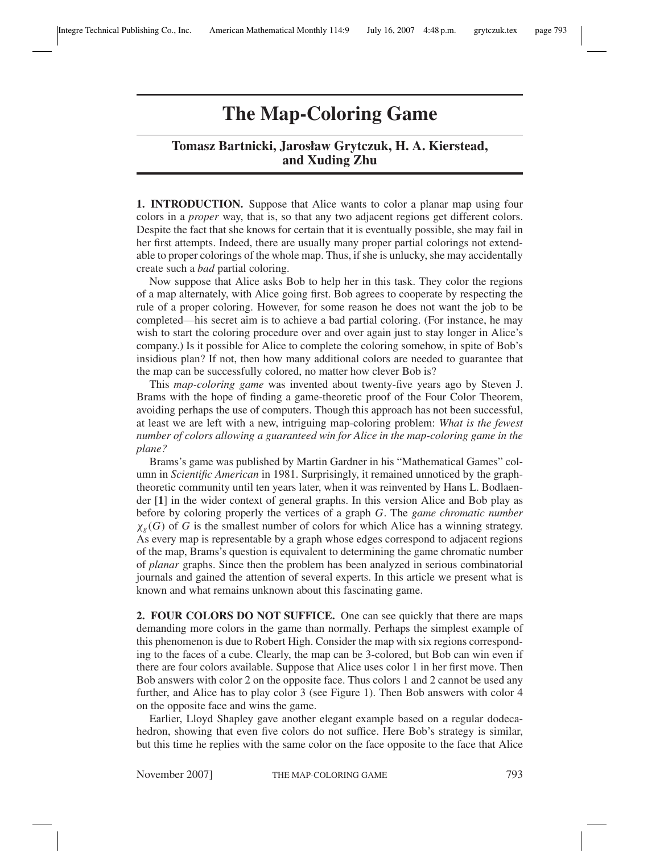# **The Map-Coloring Game**

## **Tomasz Bartnicki, Jarosław Grytczuk, H. A. Kierstead, and Xuding Zhu**

**1. INTRODUCTION.** Suppose that Alice wants to color a planar map using four colors in a *proper* way, that is, so that any two adjacent regions get different colors. Despite the fact that she knows for certain that it is eventually possible, she may fail in her first attempts. Indeed, there are usually many proper partial colorings not extendable to proper colorings of the whole map. Thus, if she is unlucky, she may accidentally create such a *bad* partial coloring.

Now suppose that Alice asks Bob to help her in this task. They color the regions of a map alternately, with Alice going first. Bob agrees to cooperate by respecting the rule of a proper coloring. However, for some reason he does not want the job to be completed—his secret aim is to achieve a bad partial coloring. (For instance, he may wish to start the coloring procedure over and over again just to stay longer in Alice's company.) Is it possible for Alice to complete the coloring somehow, in spite of Bob's insidious plan? If not, then how many additional colors are needed to guarantee that the map can be successfully colored, no matter how clever Bob is?

This *map-coloring game* was invented about twenty-five years ago by Steven J. Brams with the hope of finding a game-theoretic proof of the Four Color Theorem, avoiding perhaps the use of computers. Though this approach has not been successful, at least we are left with a new, intriguing map-coloring problem: *What is the fewest number of colors allowing a guaranteed win for Alice in the map-coloring game in the plane?*

Brams's game was published by Martin Gardner in his "Mathematical Games" column in *Scientific American* in 1981. Surprisingly, it remained unnoticed by the graphtheoretic community until ten years later, when it was reinvented by Hans L. Bodlaender [**1**] in the wider context of general graphs. In this version Alice and Bob play as before by coloring properly the vertices of a graph *G*. The *game chromatic number*  $\chi_{g}(G)$  of *G* is the smallest number of colors for which Alice has a winning strategy. As every map is representable by a graph whose edges correspond to adjacent regions of the map, Brams's question is equivalent to determining the game chromatic number of *planar* graphs. Since then the problem has been analyzed in serious combinatorial journals and gained the attention of several experts. In this article we present what is known and what remains unknown about this fascinating game.

**2. FOUR COLORS DO NOT SUFFICE.** One can see quickly that there are maps demanding more colors in the game than normally. Perhaps the simplest example of this phenomenon is due to Robert High. Consider the map with six regions corresponding to the faces of a cube. Clearly, the map can be 3-colored, but Bob can win even if there are four colors available. Suppose that Alice uses color 1 in her first move. Then Bob answers with color 2 on the opposite face. Thus colors 1 and 2 cannot be used any further, and Alice has to play color 3 (see Figure 1). Then Bob answers with color 4 on the opposite face and wins the game.

Earlier, Lloyd Shapley gave another elegant example based on a regular dodecahedron, showing that even five colors do not suffice. Here Bob's strategy is similar, but this time he replies with the same color on the face opposite to the face that Alice

November 2007] THE MAP-COLORING GAME 793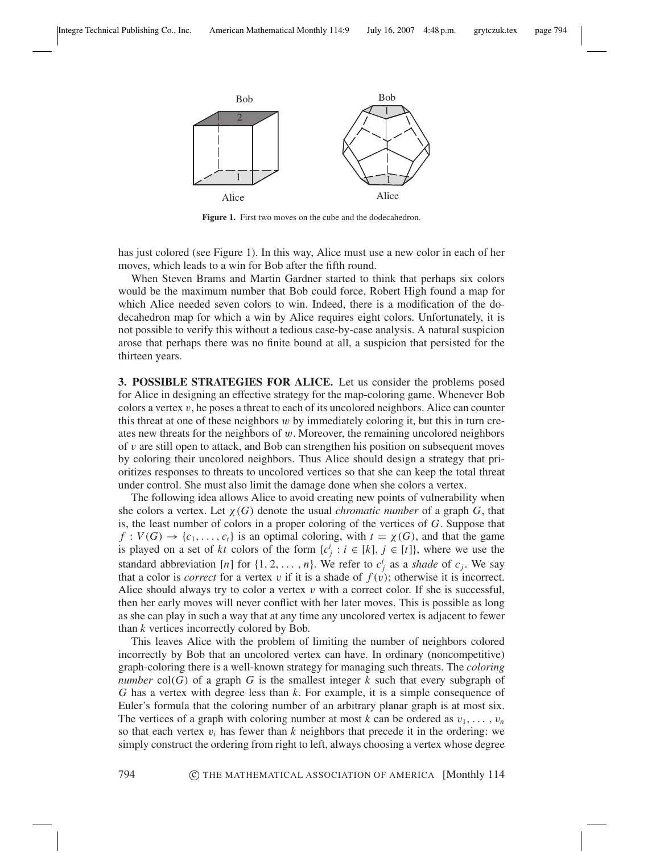

**Figure 1.** First two moves on the cube and the dodecahedron.

has just colored (see Figure 1). In this way, Alice must use a new color in each of her moves, which leads to a win for Bob after the fifth round.

When Steven Brams and Martin Gardner started to think that perhaps six colors would be the maximum number that Bob could force, Robert High found a map for which Alice needed seven colors to win. Indeed, there is a modification of the dodecahedron map for which a win by Alice requires eight colors. Unfortunately, it is not possible to verify this without a tedious case-by-case analysis. A natural suspicion arose that perhaps there was no finite bound at all, a suspicion that persisted for the thirteen years.

**3. POSSIBLE STRATEGIES FOR ALICE.** Let us consider the problems posed for Alice in designing an effective strategy for the map-coloring game. Whenever Bob colors a vertex  $v$ , he poses a threat to each of its uncolored neighbors. Alice can counter this threat at one of these neighbors  $w$  by immediately coloring it, but this in turn creates new threats for the neighbors of  $w$ . Moreover, the remaining uncolored neighbors of v are still open to attack, and Bob can strengthen his position on subsequent moves by coloring their uncolored neighbors. Thus Alice should design a strategy that prioritizes responses to threats to uncolored vertices so that she can keep the total threat under control. She must also limit the damage done when she colors a vertex.

The following idea allows Alice to avoid creating new points of vulnerability when she colors a vertex. Let  $\chi(G)$  denote the usual *chromatic number* of a graph G, that is, the least number of colors in a proper coloring of the vertices of *G*. Suppose that  $f: V(G) \rightarrow \{c_1, \ldots, c_t\}$  is an optimal coloring, with  $t = \chi(G)$ , and that the game is played on a set of *kt* colors of the form  $\{c_j^i : i \in [k], j \in [t]\}$ , where we use the standard abbreviation [*n*] for  $\{1, 2, \ldots, n\}$ . We refer to  $c_j^i$  as a *shade* of  $c_j$ . We say that a color is *correct* for a vertex  $v$  if it is a shade of  $f(v)$ ; otherwise it is incorrect. Alice should always try to color a vertex  $v$  with a correct color. If she is successful, then her early moves will never conflict with her later moves. This is possible as long as she can play in such a way that at any time any uncolored vertex is adjacent to fewer than *k* vertices incorrectly colored by Bob.

This leaves Alice with the problem of limiting the number of neighbors colored incorrectly by Bob that an uncolored vertex can have. In ordinary (noncompetitive) graph-coloring there is a well-known strategy for managing such threats. The *coloring number* col( $G$ ) of a graph  $G$  is the smallest integer  $k$  such that every subgraph of *G* has a vertex with degree less than *k*. For example, it is a simple consequence of Euler's formula that the coloring number of an arbitrary planar graph is at most six. The vertices of a graph with coloring number at most *k* can be ordered as  $v_1, \ldots, v_n$ so that each vertex  $v_i$  has fewer than  $k$  neighbors that precede it in the ordering: we simply construct the ordering from right to left, always choosing a vertex whose degree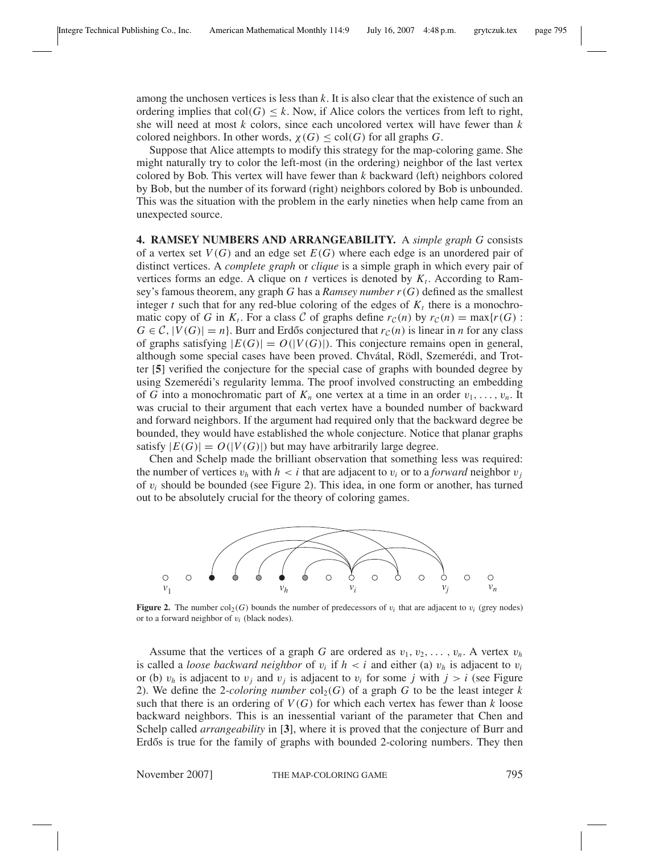among the unchosen vertices is less than *k*. It is also clear that the existence of such an ordering implies that  $col(G) \leq k$ . Now, if Alice colors the vertices from left to right, she will need at most *k* colors, since each uncolored vertex will have fewer than *k* colored neighbors. In other words,  $\chi(G) \leq \text{col}(G)$  for all graphs *G*.

Suppose that Alice attempts to modify this strategy for the map-coloring game. She might naturally try to color the left-most (in the ordering) neighbor of the last vertex colored by Bob. This vertex will have fewer than *k* backward (left) neighbors colored by Bob, but the number of its forward (right) neighbors colored by Bob is unbounded. This was the situation with the problem in the early nineties when help came from an unexpected source.

**4. RAMSEY NUMBERS AND ARRANGEABILITY.** A *simple graph G* consists of a vertex set  $V(G)$  and an edge set  $E(G)$  where each edge is an unordered pair of distinct vertices. A *complete graph* or *clique* is a simple graph in which every pair of vertices forms an edge. A clique on  $t$  vertices is denoted by  $K_t$ . According to Ramsey's famous theorem, any graph *G* has a *Ramsey number r*(*G*) defined as the smallest integer  $t$  such that for any red-blue coloring of the edges of  $K_t$  there is a monochromatic copy of *G* in  $K_t$ . For a class *C* of graphs define  $r_c(n)$  by  $r_c(n) = \max\{r(G):$  $G \in \mathcal{C}$ ,  $|V(G)| = n$ . Burr and Erdős conjectured that  $r_{\mathcal{C}}(n)$  is linear in *n* for any class of graphs satisfying  $|E(G)| = O(|V(G)|)$ . This conjecture remains open in general, although some special cases have been proved. Chvátal, Rödl, Szemerédi, and Trotter [**5**] verified the conjecture for the special case of graphs with bounded degree by using Szemerédi's regularity lemma. The proof involved constructing an embedding of *G* into a monochromatic part of  $K_n$  one vertex at a time in an order  $v_1, \ldots, v_n$ . It was crucial to their argument that each vertex have a bounded number of backward and forward neighbors. If the argument had required only that the backward degree be bounded, they would have established the whole conjecture. Notice that planar graphs satisfy  $|E(G)| = O(|V(G)|)$  but may have arbitrarily large degree.

Chen and Schelp made the brilliant observation that something less was required: the number of vertices  $v_h$  with  $h < i$  that are adjacent to  $v_i$  or to a *forward* neighbor  $v_j$ of v*<sup>i</sup>* should be bounded (see Figure 2). This idea, in one form or another, has turned out to be absolutely crucial for the theory of coloring games.



**Figure 2.** The number  $col_2(G)$  bounds the number of predecessors of  $v_i$  that are adjacent to  $v_i$  (grey nodes) or to a forward neighbor of v*<sup>i</sup>* (black nodes).

Assume that the vertices of a graph *G* are ordered as  $v_1, v_2, \ldots, v_n$ . A vertex  $v_h$ is called a *loose backward neighbor* of  $v_i$  if  $h < i$  and either (a)  $v_h$  is adjacent to  $v_i$ or (b)  $v_h$  is adjacent to  $v_j$  and  $v_j$  is adjacent to  $v_i$  for some *j* with  $j > i$  (see Figure 2). We define the 2-*coloring number*  $col_2(G)$  of a graph *G* to be the least integer *k* such that there is an ordering of  $V(G)$  for which each vertex has fewer than  $k$  loose backward neighbors. This is an inessential variant of the parameter that Chen and Schelp called *arrangeability* in [**3**], where it is proved that the conjecture of Burr and Erdős is true for the family of graphs with bounded 2-coloring numbers. They then

November 2007] THE MAP-COLORING GAME 795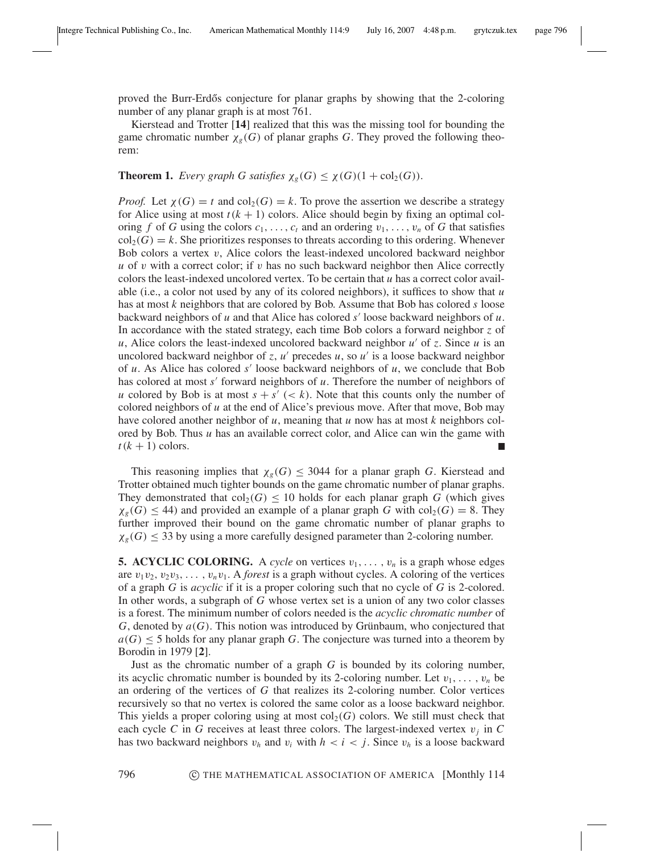proved the Burr-Erdős conjecture for planar graphs by showing that the 2-coloring number of any planar graph is at most 761.

Kierstead and Trotter [**14**] realized that this was the missing tool for bounding the game chromatic number  $\chi_g(G)$  of planar graphs *G*. They proved the following theorem:

## **Theorem 1.** *Every graph G satisfies*  $\chi_g(G) \leq \chi(G)(1 + \text{col}_2(G))$ .

*Proof.* Let  $\chi(G) = t$  and  $col_2(G) = k$ . To prove the assertion we describe a strategy for Alice using at most  $t(k + 1)$  colors. Alice should begin by fixing an optimal coloring f of G using the colors  $c_1, \ldots, c_t$  and an ordering  $v_1, \ldots, v_n$  of G that satisfies  $col<sub>2</sub>(G) = k$ . She prioritizes responses to threats according to this ordering. Whenever Bob colors a vertex  $v$ , Alice colors the least-indexed uncolored backward neighbor *u* of v with a correct color; if v has no such backward neighbor then Alice correctly colors the least-indexed uncolored vertex. To be certain that *u* has a correct color available (i.e., a color not used by any of its colored neighbors), it suffices to show that *u* has at most *k* neighbors that are colored by Bob. Assume that Bob has colored *s* loose backward neighbors of *u* and that Alice has colored *s* loose backward neighbors of *u*. In accordance with the stated strategy, each time Bob colors a forward neighbor *z* of *u*, Alice colors the least-indexed uncolored backward neighbor *u* of *z*. Since *u* is an uncolored backward neighbor of  $z$ ,  $u'$  precedes  $u$ , so  $u'$  is a loose backward neighbor of *u*. As Alice has colored *s* loose backward neighbors of *u*, we conclude that Bob has colored at most *s'* forward neighbors of *u*. Therefore the number of neighbors of *u* colored by Bob is at most  $s + s' \, (<\, k$ ). Note that this counts only the number of colored neighbors of *u* at the end of Alice's previous move. After that move, Bob may have colored another neighbor of *u*, meaning that *u* now has at most *k* neighbors colored by Bob. Thus *u* has an available correct color, and Alice can win the game with  $t(k+1)$  colors.

This reasoning implies that  $\chi_g(G) \leq 3044$  for a planar graph *G*. Kierstead and Trotter obtained much tighter bounds on the game chromatic number of planar graphs. They demonstrated that  $col_2(G) \leq 10$  holds for each planar graph *G* (which gives  $\chi_{g}(G) \leq 44$ ) and provided an example of a planar graph *G* with  $col_{2}(G) = 8$ . They further improved their bound on the game chromatic number of planar graphs to  $\chi_{g}(G) \leq 33$  by using a more carefully designed parameter than 2-coloring number.

**5. ACYCLIC COLORING.** A *cycle* on vertices  $v_1, \ldots, v_n$  is a graph whose edges are  $v_1v_2, v_2v_3, \ldots, v_nv_1$ . A *forest* is a graph without cycles. A coloring of the vertices of a graph *G* is *acyclic* if it is a proper coloring such that no cycle of *G* is 2-colored. In other words, a subgraph of *G* whose vertex set is a union of any two color classes is a forest. The minimum number of colors needed is the *acyclic chromatic number* of  $G$ , denoted by  $a(G)$ . This notion was introduced by Grünbaum, who conjectured that  $a(G) \leq 5$  holds for any planar graph *G*. The conjecture was turned into a theorem by Borodin in 1979 [**2**].

Just as the chromatic number of a graph *G* is bounded by its coloring number, its acyclic chromatic number is bounded by its 2-coloring number. Let  $v_1, \ldots, v_n$  be an ordering of the vertices of *G* that realizes its 2-coloring number. Color vertices recursively so that no vertex is colored the same color as a loose backward neighbor. This yields a proper coloring using at most  $col_2(G)$  colors. We still must check that each cycle *C* in *G* receives at least three colors. The largest-indexed vertex  $v_i$  in *C* has two backward neighbors  $v_h$  and  $v_i$  with  $h < i < j$ . Since  $v_h$  is a loose backward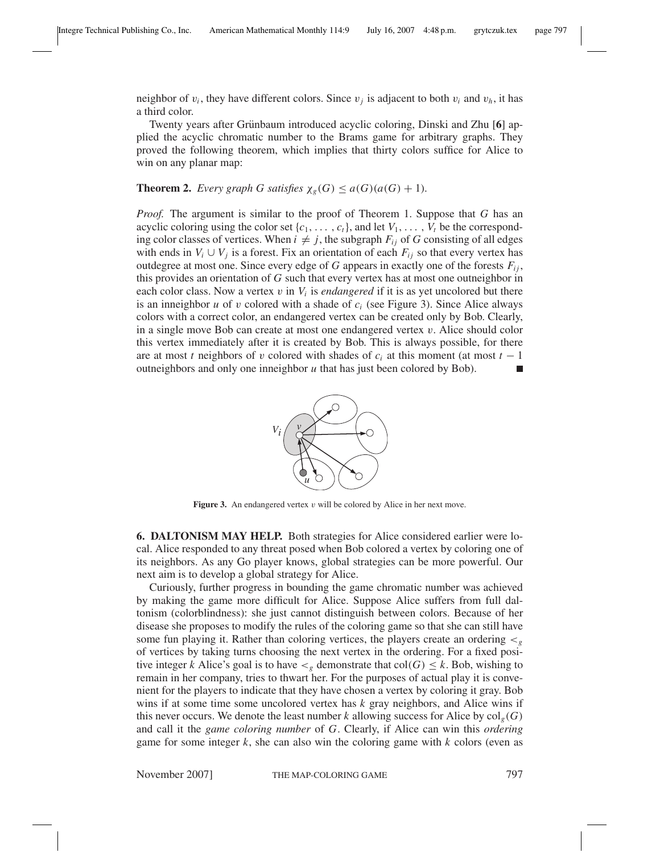neighbor of  $v_i$ , they have different colors. Since  $v_j$  is adjacent to both  $v_i$  and  $v_h$ , it has a third color.

Twenty years after Grünbaum introduced acyclic coloring, Dinski and Zhu [6] applied the acyclic chromatic number to the Brams game for arbitrary graphs. They proved the following theorem, which implies that thirty colors suffice for Alice to win on any planar map:

## **Theorem 2.** *Every graph G satisfies*  $\chi_g(G) \leq a(G)(a(G) + 1)$ *.*

*Proof.* The argument is similar to the proof of Theorem 1. Suppose that *G* has an acyclic coloring using the color set  $\{c_1, \ldots, c_t\}$ , and let  $V_1, \ldots, V_t$  be the corresponding color classes of vertices. When  $i \neq j$ , the subgraph  $F_{ij}$  of *G* consisting of all edges with ends in  $V_i \cup V_j$  is a forest. Fix an orientation of each  $F_{ij}$  so that every vertex has outdegree at most one. Since every edge of  $G$  appears in exactly one of the forests  $F_{ij}$ , this provides an orientation of *G* such that every vertex has at most one outneighbor in each color class. Now a vertex v in  $V_i$  is *endangered* if it is as yet uncolored but there is an inneighbor  $u$  of  $v$  colored with a shade of  $c_i$  (see Figure 3). Since Alice always colors with a correct color, an endangered vertex can be created only by Bob. Clearly, in a single move Bob can create at most one endangered vertex v. Alice should color this vertex immediately after it is created by Bob. This is always possible, for there are at most *t* neighbors of v colored with shades of  $c_i$  at this moment (at most  $t - 1$ outneighbors and only one inneighbor *u* that has just been colored by Bob).



**Figure 3.** An endangered vertex  $v$  will be colored by Alice in her next move.

**6. DALTONISM MAY HELP.** Both strategies for Alice considered earlier were local. Alice responded to any threat posed when Bob colored a vertex by coloring one of its neighbors. As any Go player knows, global strategies can be more powerful. Our next aim is to develop a global strategy for Alice.

Curiously, further progress in bounding the game chromatic number was achieved by making the game more difficult for Alice. Suppose Alice suffers from full daltonism (colorblindness): she just cannot distinguish between colors. Because of her disease she proposes to modify the rules of the coloring game so that she can still have some fun playing it. Rather than coloring vertices, the players create an ordering  $\lt_g$ of vertices by taking turns choosing the next vertex in the ordering. For a fixed positive integer *k* Alice's goal is to have  $\lt_g$  demonstrate that  $col(G) \leq k$ . Bob, wishing to remain in her company, tries to thwart her. For the purposes of actual play it is convenient for the players to indicate that they have chosen a vertex by coloring it gray. Bob wins if at some time some uncolored vertex has *k* gray neighbors, and Alice wins if this never occurs. We denote the least number *k* allowing success for Alice by  $\text{col}_e(G)$ and call it the *game coloring number* of *G*. Clearly, if Alice can win this *ordering* game for some integer *k*, she can also win the coloring game with *k* colors (even as

November 2007] THE MAP-COLORING GAME 797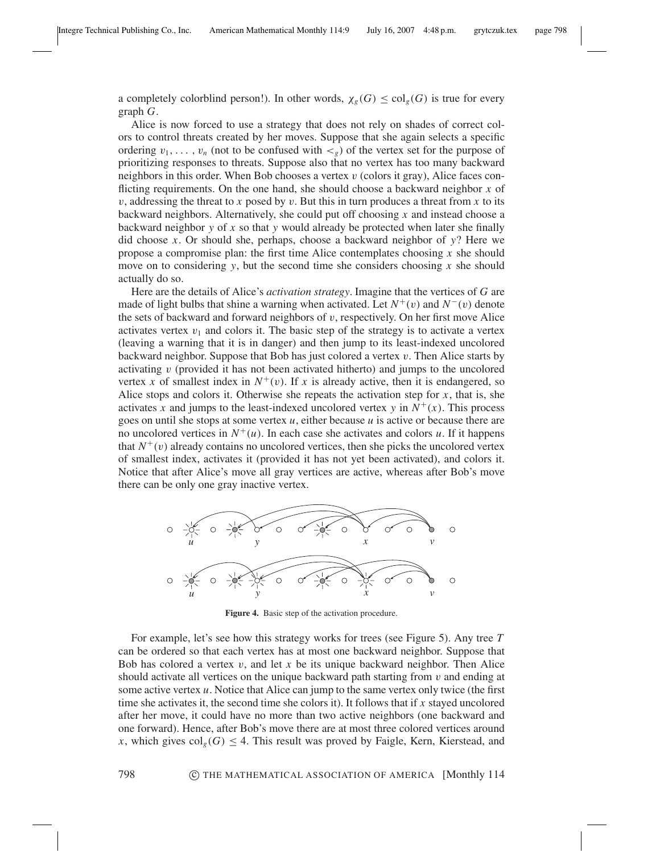a completely colorblind person!). In other words,  $\chi_g(G) \leq \text{col}_g(G)$  is true for every graph *G*.

Alice is now forced to use a strategy that does not rely on shades of correct colors to control threats created by her moves. Suppose that she again selects a specific ordering  $v_1, \ldots, v_n$  (not to be confused with  $\lt e$ ) of the vertex set for the purpose of prioritizing responses to threats. Suppose also that no vertex has too many backward neighbors in this order. When Bob chooses a vertex  $v$  (colors it gray), Alice faces conflicting requirements. On the one hand, she should choose a backward neighbor *x* of  $v$ , addressing the threat to  $x$  posed by  $v$ . But this in turn produces a threat from  $x$  to its backward neighbors. Alternatively, she could put off choosing *x* and instead choose a backward neighbor *y* of *x* so that *y* would already be protected when later she finally did choose *x*. Or should she, perhaps, choose a backward neighbor of *y*? Here we propose a compromise plan: the first time Alice contemplates choosing *x* she should move on to considering *y*, but the second time she considers choosing *x* she should actually do so.

Here are the details of Alice's *activation strategy*. Imagine that the vertices of *G* are made of light bulbs that shine a warning when activated. Let  $N^+(v)$  and  $N^-(v)$  denote the sets of backward and forward neighbors of v, respectively. On her first move Alice activates vertex  $v_1$  and colors it. The basic step of the strategy is to activate a vertex (leaving a warning that it is in danger) and then jump to its least-indexed uncolored backward neighbor. Suppose that Bob has just colored a vertex  $v$ . Then Alice starts by activating  $\nu$  (provided it has not been activated hitherto) and jumps to the uncolored vertex x of smallest index in  $N^+(v)$ . If x is already active, then it is endangered, so Alice stops and colors it. Otherwise she repeats the activation step for *x*, that is, she activates *x* and jumps to the least-indexed uncolored vertex *y* in  $N^+(x)$ . This process goes on until she stops at some vertex *u*, either because *u* is active or because there are no uncolored vertices in  $N^+(u)$ . In each case she activates and colors *u*. If it happens that  $N^+(v)$  already contains no uncolored vertices, then she picks the uncolored vertex of smallest index, activates it (provided it has not yet been activated), and colors it. Notice that after Alice's move all gray vertices are active, whereas after Bob's move there can be only one gray inactive vertex.



**Figure 4.** Basic step of the activation procedure.

For example, let's see how this strategy works for trees (see Figure 5). Any tree *T* can be ordered so that each vertex has at most one backward neighbor. Suppose that Bob has colored a vertex v, and let *x* be its unique backward neighbor. Then Alice should activate all vertices on the unique backward path starting from  $v$  and ending at some active vertex *u*. Notice that Alice can jump to the same vertex only twice (the first time she activates it, the second time she colors it). It follows that if *x* stayed uncolored after her move, it could have no more than two active neighbors (one backward and one forward). Hence, after Bob's move there are at most three colored vertices around *x*, which gives  $col_{g}(G) \leq 4$ . This result was proved by Faigle, Kern, Kierstead, and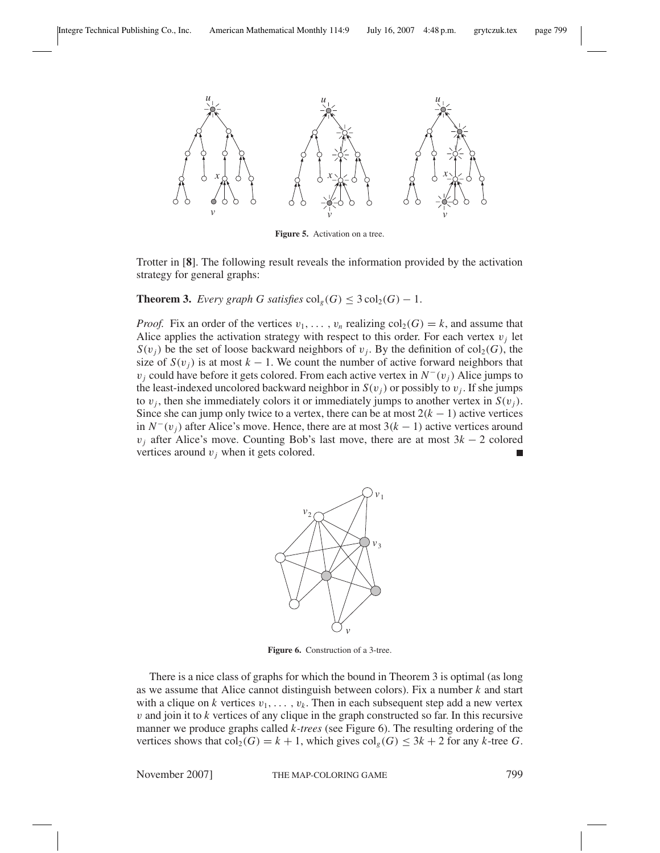

**Figure 5.** Activation on a tree.

Trotter in [**8**]. The following result reveals the information provided by the activation strategy for general graphs:

**Theorem 3.** *Every graph G satisfies*  $col_{g}(G) \leq 3col_{2}(G) - 1$ .

*Proof.* Fix an order of the vertices  $v_1, \ldots, v_n$  realizing  $col_2(G) = k$ , and assume that Alice applies the activation strategy with respect to this order. For each vertex  $v_j$  let  $S(v_i)$  be the set of loose backward neighbors of  $v_i$ . By the definition of col<sub>2</sub>(*G*), the size of  $S(v_i)$  is at most  $k - 1$ . We count the number of active forward neighbors that  $v_j$  could have before it gets colored. From each active vertex in  $N^-(v_j)$  Alice jumps to the least-indexed uncolored backward neighbor in  $S(v_i)$  or possibly to  $v_i$ . If she jumps to  $v_j$ , then she immediately colors it or immediately jumps to another vertex in  $S(v_j)$ . Since she can jump only twice to a vertex, there can be at most  $2(k - 1)$  active vertices in  $N^-(v_i)$  after Alice's move. Hence, there are at most  $3(k − 1)$  active vertices around v*<sup>j</sup>* after Alice's move. Counting Bob's last move, there are at most 3*k* − 2 colored vertices around  $v_j$  when it gets colored. П



**Figure 6.** Construction of a 3-tree.

There is a nice class of graphs for which the bound in Theorem 3 is optimal (as long as we assume that Alice cannot distinguish between colors). Fix a number *k* and start with a clique on *k* vertices  $v_1, \ldots, v_k$ . Then in each subsequent step add a new vertex v and join it to *k* vertices of any clique in the graph constructed so far. In this recursive manner we produce graphs called *k-trees* (see Figure 6). The resulting ordering of the vertices shows that  $col_2(G) = k + 1$ , which gives  $col_{\varrho}(G) \leq 3k + 2$  for any *k*-tree *G*.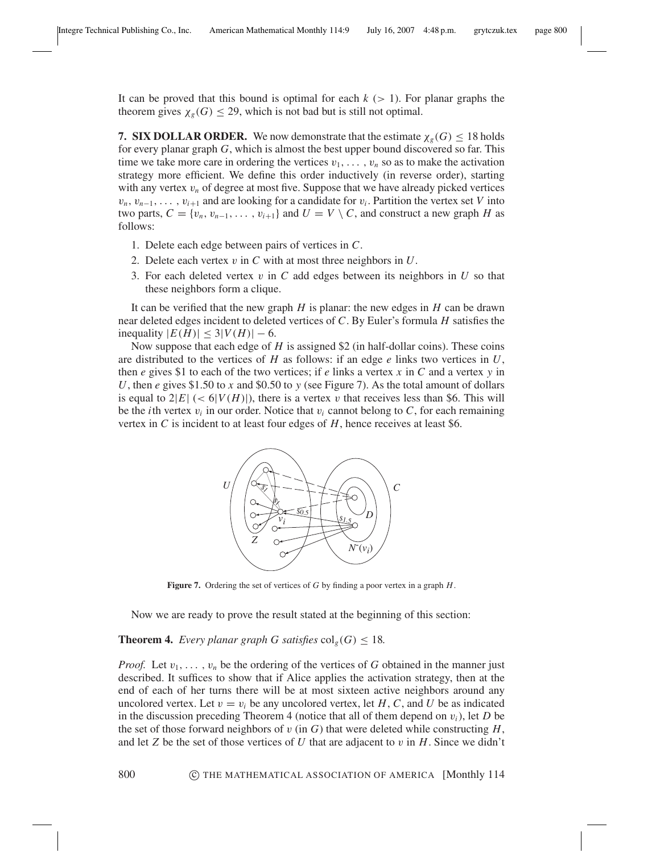It can be proved that this bound is optimal for each  $k$  ( $> 1$ ). For planar graphs the theorem gives  $\chi_g(G) \leq 29$ , which is not bad but is still not optimal.

**7. SIX DOLLAR ORDER.** We now demonstrate that the estimate  $\chi_g(G) \leq 18$  holds for every planar graph *G*, which is almost the best upper bound discovered so far. This time we take more care in ordering the vertices  $v_1, \ldots, v_n$  so as to make the activation strategy more efficient. We define this order inductively (in reverse order), starting with any vertex  $v_n$  of degree at most five. Suppose that we have already picked vertices  $v_n, v_{n-1}, \ldots, v_{i+1}$  and are looking for a candidate for  $v_i$ . Partition the vertex set *V* into two parts,  $C = \{v_n, v_{n-1}, \ldots, v_{i+1}\}\$  and  $U = V \setminus C$ , and construct a new graph *H* as follows:

- 1. Delete each edge between pairs of vertices in *C*.
- 2. Delete each vertex v in *C* with at most three neighbors in *U*.
- 3. For each deleted vertex v in *C* add edges between its neighbors in *U* so that these neighbors form a clique.

It can be verified that the new graph *H* is planar: the new edges in *H* can be drawn near deleted edges incident to deleted vertices of *C*. By Euler's formula *H* satisfies the inequality  $|E(H)| \leq 3|V(H)| - 6$ .

Now suppose that each edge of *H* is assigned \$2 (in half-dollar coins). These coins are distributed to the vertices of *H* as follows: if an edge *e* links two vertices in *U*, then *e* gives \$1 to each of the two vertices; if *e* links a vertex *x* in *C* and a vertex *y* in *U*, then *e* gives \$1.50 to *x* and \$0.50 to *y* (see Figure 7). As the total amount of dollars is equal to  $2|E|$  (< 6| $V(H)$ )), there is a vertex v that receives less than \$6. This will be the *i*th vertex  $v_i$  in our order. Notice that  $v_i$  cannot belong to C, for each remaining vertex in *C* is incident to at least four edges of *H*, hence receives at least \$6.



**Figure 7.** Ordering the set of vertices of *G* by finding a poor vertex in a graph *H*.

Now we are ready to prove the result stated at the beginning of this section:

### **Theorem 4.** *Every planar graph G satisfies*  $col_{g}(G) \leq 18$ *.*

*Proof.* Let  $v_1, \ldots, v_n$  be the ordering of the vertices of *G* obtained in the manner just described. It suffices to show that if Alice applies the activation strategy, then at the end of each of her turns there will be at most sixteen active neighbors around any uncolored vertex. Let  $v = v_i$  be any uncolored vertex, let  $H, C$ , and U be as indicated in the discussion preceding Theorem 4 (notice that all of them depend on  $v_i$ ), let *D* be the set of those forward neighbors of  $v$  (in  $G$ ) that were deleted while constructing  $H$ , and let *Z* be the set of those vertices of *U* that are adjacent to v in  $H$ . Since we didn't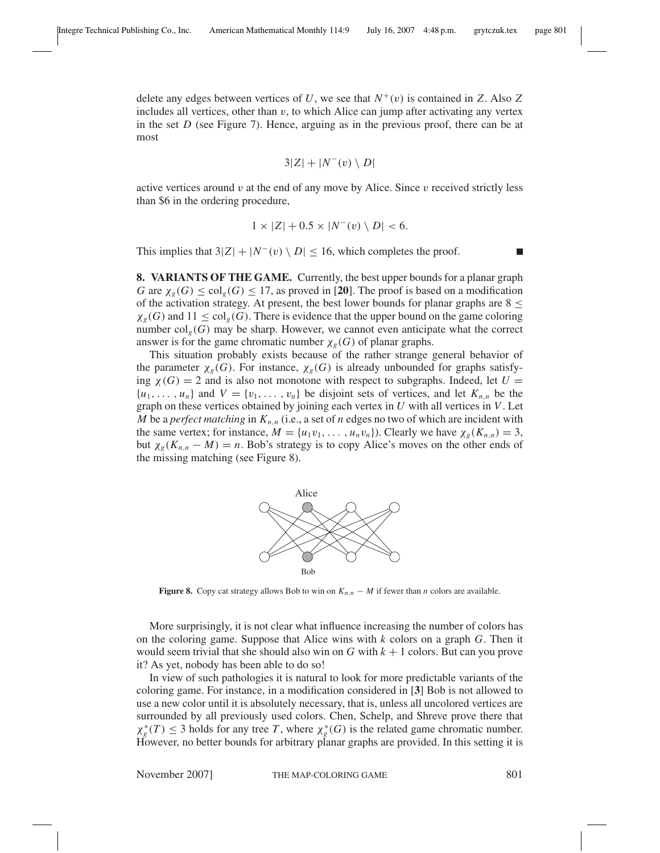delete any edges between vertices of U, we see that  $N^+(v)$  is contained in Z. Also Z includes all vertices, other than  $v$ , to which Alice can jump after activating any vertex in the set *D* (see Figure 7). Hence, arguing as in the previous proof, there can be at most

$$
3|Z|+|N^-(v)\setminus D|
$$

active vertices around  $v$  at the end of any move by Alice. Since  $v$  received strictly less than \$6 in the ordering procedure,

$$
1 \times |Z| + 0.5 \times |N^-(v) \setminus D| < 6.
$$

This implies that  $3|Z| + |N^-(v) \setminus D| \le 16$ , which completes the proof.

**8. VARIANTS OF THE GAME.** Currently, the best upper bounds for a planar graph *G* are  $\chi_g(G) \leq \text{col}_g(G) \leq 17$ , as proved in [20]. The proof is based on a modification of the activation strategy. At present, the best lower bounds for planar graphs are  $8 \le$  $\chi_g(G)$  and  $11 \leq \text{col}_g(G)$ . There is evidence that the upper bound on the game coloring number  $col_g(G)$  may be sharp. However, we cannot even anticipate what the correct answer is for the game chromatic number  $\chi_g(G)$  of planar graphs.

This situation probably exists because of the rather strange general behavior of the parameter  $\chi_g(G)$ . For instance,  $\chi_g(G)$  is already unbounded for graphs satisfying  $\chi(G) = 2$  and is also not monotone with respect to subgraphs. Indeed, let  $U =$  $\{u_1, \ldots, u_n\}$  and  $V = \{v_1, \ldots, v_n\}$  be disjoint sets of vertices, and let  $K_{n,n}$  be the graph on these vertices obtained by joining each vertex in *U* with all vertices in *V* . Let *M* be a *perfect matching* in  $K_{n,n}$  (i.e., a set of *n* edges no two of which are incident with the same vertex; for instance,  $M = \{u_1v_1, \ldots, u_nv_n\}$ ). Clearly we have  $\chi_g(K_{n,n}) = 3$ , but  $\chi_{\varrho}(K_{n,n}-M)=n$ . Bob's strategy is to copy Alice's moves on the other ends of the missing matching (see Figure 8).



**Figure 8.** Copy cat strategy allows Bob to win on  $K_{n,n} - M$  if fewer than *n* colors are available.

More surprisingly, it is not clear what influence increasing the number of colors has on the coloring game. Suppose that Alice wins with *k* colors on a graph *G*. Then it would seem trivial that she should also win on *G* with *k* + 1 colors. But can you prove it? As yet, nobody has been able to do so!

In view of such pathologies it is natural to look for more predictable variants of the coloring game. For instance, in a modification considered in [**3**] Bob is not allowed to use a new color until it is absolutely necessary, that is, unless all uncolored vertices are surrounded by all previously used colors. Chen, Schelp, and Shreve prove there that  $\chi_g^*(T) \leq 3$  holds for any tree *T*, where  $\chi_g^*(G)$  is the related game chromatic number. However, no better bounds for arbitrary planar graphs are provided. In this setting it is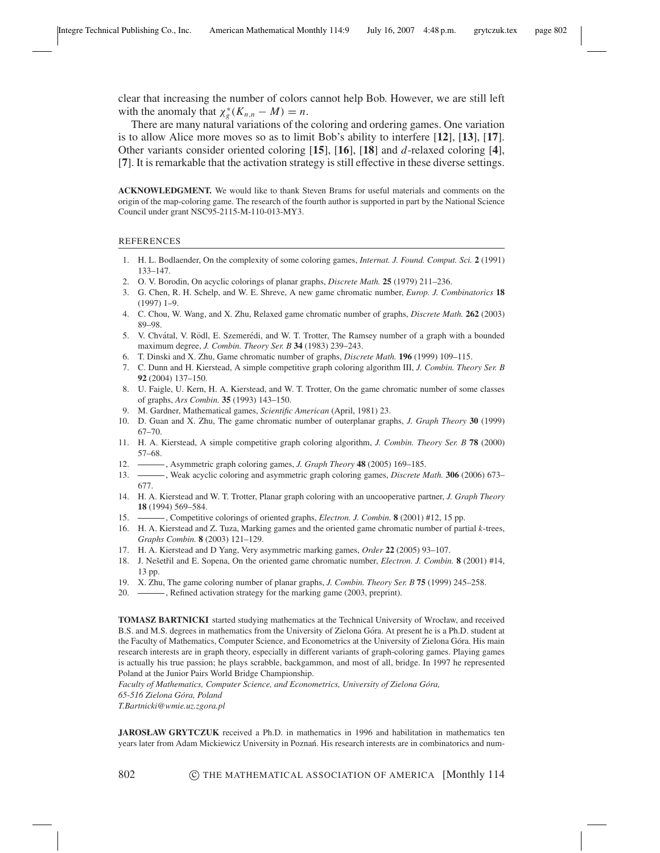clear that increasing the number of colors cannot help Bob. However, we are still left with the anomaly that  $\chi_g^*(K_{n,n} - M) = n$ .

There are many natural variations of the coloring and ordering games. One variation is to allow Alice more moves so as to limit Bob's ability to interfere [**12**], [**13**], [**17**]. Other variants consider oriented coloring [**15**], [**16**], [**18**] and *d*-relaxed coloring [**4**], [**7**]. It is remarkable that the activation strategy is still effective in these diverse settings.

**ACKNOWLEDGMENT.** We would like to thank Steven Brams for useful materials and comments on the origin of the map-coloring game. The research of the fourth author is supported in part by the National Science Council under grant NSC95-2115-M-110-013-MY3.

#### REFERENCES

- 1. H. L. Bodlaender, On the complexity of some coloring games, *Internat. J. Found. Comput. Sci.* **2** (1991) 133–147.
- 2. O. V. Borodin, On acyclic colorings of planar graphs, *Discrete Math.* **25** (1979) 211–236.
- 3. G. Chen, R. H. Schelp, and W. E. Shreve, A new game chromatic number, *Europ. J. Combinatorics* **18** (1997) 1–9.
- 4. C. Chou, W. Wang, and X. Zhu, Relaxed game chromatic number of graphs, *Discrete Math.* **262** (2003) 89–98.
- 5. V. Chvátal, V. Rödl, E. Szemerédi, and W. T. Trotter, The Ramsey number of a graph with a bounded maximum degree, *J. Combin. Theory Ser. B* **34** (1983) 239–243.
- 6. T. Dinski and X. Zhu, Game chromatic number of graphs, *Discrete Math.* **196** (1999) 109–115.
- 7. C. Dunn and H. Kierstead, A simple competitive graph coloring algorithm III, *J. Combin. Theory Ser. B* **92** (2004) 137–150.
- 8. U. Faigle, U. Kern, H. A. Kierstead, and W. T. Trotter, On the game chromatic number of some classes of graphs, *Ars Combin.* **35** (1993) 143–150.
- 9. M. Gardner, Mathematical games, *Scientific American* (April, 1981) 23.
- 10. D. Guan and X. Zhu, The game chromatic number of outerplanar graphs, *J. Graph Theory* **30** (1999) 67–70.
- 11. H. A. Kierstead, A simple competitive graph coloring algorithm, *J. Combin. Theory Ser. B* **78** (2000) 57–68.
- 12.  $\rightarrow$ , Asymmetric graph coloring games, *J. Graph Theory* **48** (2005) 169–185.
- 13. Weak acyclic coloring and asymmetric graph coloring games, *Discrete Math.* **306** (2006) 673– 677.
- 14. H. A. Kierstead and W. T. Trotter, Planar graph coloring with an uncooperative partner, *J. Graph Theory* **18** (1994) 569–584.
- 15. <del>. . . . . . .</del> Competitive colorings of oriented graphs, *Electron. J. Combin.* **8** (2001) #12, 15 pp.
- 16. H. A. Kierstead and Z. Tuza, Marking games and the oriented game chromatic number of partial *k*-trees, *Graphs Combin.* **8** (2003) 121–129.
- 17. H. A. Kierstead and D Yang, Very asymmetric marking games, *Order* **22** (2005) 93–107.
- 18. J. Nešetřil and E. Sopena, On the oriented game chromatic number, *Electron. J. Combin.* **8** (2001) #14, 13 pp.
- 19. X. Zhu, The game coloring number of planar graphs, *J. Combin. Theory Ser. B* **75** (1999) 245–258.
- 20.  $\longrightarrow$ , Refined activation strategy for the marking game (2003, preprint).

**TOMASZ BARTNICKI** started studying mathematics at the Technical University of Wrocław, and received B.S. and M.S. degrees in mathematics from the University of Zielona Góra. At present he is a Ph.D. student at the Faculty of Mathematics, Computer Science, and Econometrics at the University of Zielona Góra. His main research interests are in graph theory, especially in different variants of graph-coloring games. Playing games is actually his true passion; he plays scrabble, backgammon, and most of all, bridge. In 1997 he represented Poland at the Junior Pairs World Bridge Championship.

*Faculty of Mathematics, Computer Science, and Econometrics, University of Zielona Gora, ´*

*65-516 Zielona Gora, Poland ´*

*T.Bartnicki@wmie.uz.zgora.pl*

**JAROSŁAW GRYTCZUK** received a Ph.D. in mathematics in 1996 and habilitation in mathematics ten years later from Adam Mickiewicz University in Poznan. His research interests are in combinatorics and num- ´